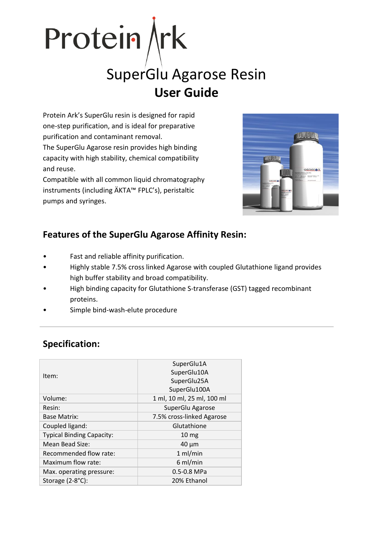

# SuperGlu Agarose Resin **User Guide**

Protein Ark's SuperGlu resin is designed for rapid one-step purification, and is ideal for preparative purification and contaminant removal. The SuperGlu Agarose resin provides high binding capacity with high stability, chemical compatibility and reuse.

Compatible with all common liquid chromatography instruments (including ÄKTA™ FPLC's), peristaltic pumps and syringes.



## **Features of the SuperGlu Agarose Affinity Resin:**

- Fast and reliable affinity purification.
- Highly stable 7.5% cross linked Agarose with coupled Glutathione ligand provides high buffer stability and broad compatibility.
- High binding capacity for Glutathione S-transferase (GST) tagged recombinant proteins.
- Simple bind-wash-elute procedure

|                                  | SuperGlu1A                 |
|----------------------------------|----------------------------|
| Item:                            | SuperGlu10A                |
|                                  | SuperGlu25A                |
|                                  | SuperGlu100A               |
| Volume:                          | 1 ml, 10 ml, 25 ml, 100 ml |
| Resin:                           | SuperGlu Agarose           |
| <b>Base Matrix:</b>              | 7.5% cross-linked Agarose  |
| Coupled ligand:                  | Glutathione                |
| <b>Typical Binding Capacity:</b> | 10 <sub>mg</sub>           |
| Mean Bead Size:                  | $40 \mu m$                 |
| Recommended flow rate:           | $1$ ml/min                 |
| Maximum flow rate:               | $6$ ml/min                 |
| Max. operating pressure:         | 0.5-0.8 MPa                |
| Storage (2-8°C):                 | 20% Ethanol                |

## **Specification:**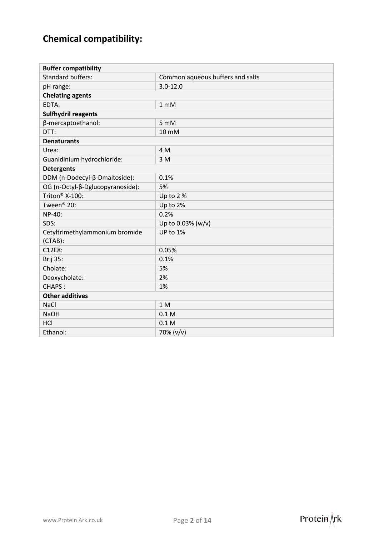## **Chemical compatibility:**

| <b>Buffer compatibility</b>                  |                                  |
|----------------------------------------------|----------------------------------|
| <b>Standard buffers:</b>                     | Common aqueous buffers and salts |
| pH range:                                    | $3.0 - 12.0$                     |
| <b>Chelating agents</b>                      |                                  |
| EDTA:                                        | 1 <sub>m</sub> M                 |
| <b>Sulfhydril reagents</b>                   |                                  |
| β-mercaptoethanol:                           | 5 mM                             |
| DTT:                                         | 10 mM                            |
| <b>Denaturants</b>                           |                                  |
| Urea:                                        | 4 M                              |
| Guanidinium hydrochloride:                   | 3 M                              |
| <b>Detergents</b>                            |                                  |
| DDM (n-Dodecyl-β-Dmaltoside):                | 0.1%                             |
| OG (n-Octyl-β-Dglucopyranoside):             | 5%                               |
| Triton <sup>®</sup> X-100:                   | Up to 2%                         |
| Tween <sup>®</sup> 20:                       | Up to 2%                         |
| NP-40:                                       | 0.2%                             |
| SDS:                                         | Up to 0.03% (w/v)                |
| Cetyltrimethylammonium bromide<br>$(CTAB)$ : | UP to 1%                         |
| C12E8:                                       | 0.05%                            |
| <b>Brij 35:</b>                              | 0.1%                             |
| Cholate:                                     | 5%                               |
| Deoxycholate:                                | 2%                               |
| CHAPS:                                       | 1%                               |
| <b>Other additives</b>                       |                                  |
| <b>NaCl</b>                                  | 1 <sub>M</sub>                   |
| <b>NaOH</b>                                  | 0.1 <sub>M</sub>                 |
| HCI                                          | 0.1 <sub>M</sub>                 |
| Ethanol:                                     | 70% (v/v)                        |

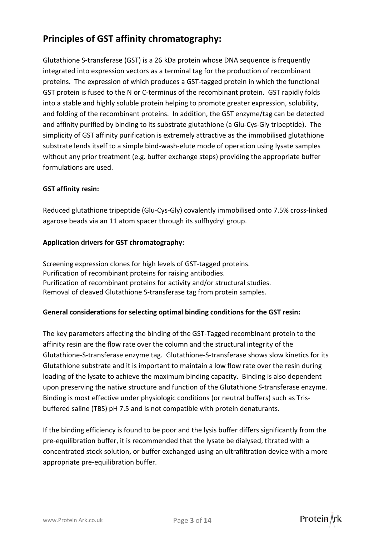## **Principles of GST affinity chromatography:**

Glutathione S-transferase (GST) is a 26 kDa protein whose DNA sequence is frequently integrated into expression vectors as a terminal tag for the production of recombinant proteins. The expression of which produces a GST-tagged protein in which the functional GST protein is fused to the N or C-terminus of the recombinant protein. GST rapidly folds into a stable and highly soluble protein helping to promote greater expression, solubility, and folding of the recombinant proteins. In addition, the GST enzyme/tag can be detected and affinity purified by binding to its substrate glutathione (a Glu-Cys-Gly tripeptide). The simplicity of GST affinity purification is extremely attractive as the immobilised glutathione substrate lends itself to a simple bind-wash-elute mode of operation using lysate samples without any prior treatment (e.g. buffer exchange steps) providing the appropriate buffer formulations are used.

#### **GST affinity resin:**

Reduced glutathione tripeptide (Glu-Cys-Gly) covalently immobilised onto 7.5% cross-linked agarose beads via an 11 atom spacer through its sulfhydryl group.

#### **Application drivers for GST chromatography:**

Screening expression clones for high levels of GST-tagged proteins. Purification of recombinant proteins for raising antibodies. Purification of recombinant proteins for activity and/or structural studies. Removal of cleaved Glutathione S-transferase tag from protein samples.

#### **General considerations for selecting optimal binding conditions for the GST resin:**

The key parameters affecting the binding of the GST-Tagged recombinant protein to the affinity resin are the flow rate over the column and the structural integrity of the Glutathione-S-transferase enzyme tag. Glutathione-S-transferase shows slow kinetics for its Glutathione substrate and it is important to maintain a low flow rate over the resin during loading of the lysate to achieve the maximum binding capacity. Binding is also dependent upon preserving the native structure and function of the Glutathione *S*-transferase enzyme. Binding is most effective under physiologic conditions (or neutral buffers) such as Trisbuffered saline (TBS) pH 7.5 and is not compatible with protein denaturants.

If the binding efficiency is found to be poor and the lysis buffer differs significantly from the pre-equilibration buffer, it is recommended that the lysate be dialysed, titrated with a concentrated stock solution, or buffer exchanged using an ultrafiltration device with a more appropriate pre-equilibration buffer.

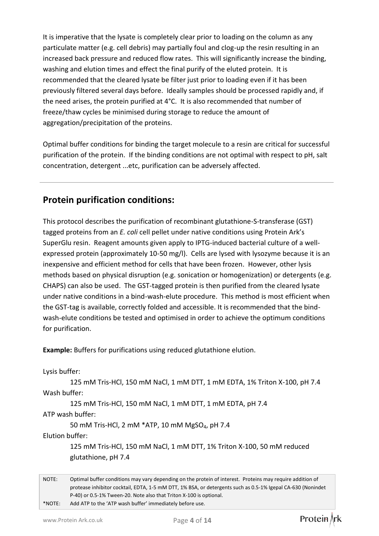It is imperative that the lysate is completely clear prior to loading on the column as any particulate matter (e.g. cell debris) may partially foul and clog-up the resin resulting in an increased back pressure and reduced flow rates. This will significantly increase the binding, washing and elution times and effect the final purify of the eluted protein. It is recommended that the cleared lysate be filter just prior to loading even if it has been previously filtered several days before. Ideally samples should be processed rapidly and, if the need arises, the protein purified at 4°C. It is also recommended that number of freeze/thaw cycles be minimised during storage to reduce the amount of aggregation/precipitation of the proteins.

Optimal buffer conditions for binding the target molecule to a resin are critical for successful purification of the protein. If the binding conditions are not optimal with respect to pH, salt concentration, detergent ...etc, purification can be adversely affected.

#### **Protein purification conditions:**

This protocol describes the purification of recombinant glutathione-S-transferase (GST) tagged proteins from an *E. coli* cell pellet under native conditions using Protein Ark's SuperGlu resin. Reagent amounts given apply to IPTG-induced bacterial culture of a wellexpressed protein (approximately 10-50 mg/l). Cells are lysed with lysozyme because it is an inexpensive and efficient method for cells that have been frozen. However, other lysis methods based on physical disruption (e.g. sonication or homogenization) or detergents (e.g. CHAPS) can also be used. The GST-tagged protein is then purified from the cleared lysate under native conditions in a bind-wash-elute procedure. This method is most efficient when the GST-tag is available, correctly folded and accessible. It is recommended that the bindwash-elute conditions be tested and optimised in order to achieve the optimum conditions for purification.

**Example:** Buffers for purifications using reduced glutathione elution.

Lysis buffer:

125 mM Tris-HCl, 150 mM NaCl, 1 mM DTT, 1 mM EDTA, 1% Triton X-100, pH 7.4 Wash buffer:

125 mM Tris-HCl, 150 mM NaCl, 1 mM DTT, 1 mM EDTA, pH 7.4

ATP wash buffer:

50 mM Tris-HCl, 2 mM \*ATP, 10 mM MgSO<sub>4</sub>, pH 7.4

Elution buffer:

125 mM Tris-HCl, 150 mM NaCl, 1 mM DTT, 1% Triton X-100, 50 mM reduced glutathione, pH 7.4

NOTE: Optimal buffer conditions may vary depending on the protein of interest. Proteins may require addition of protease inhibitor cocktail, EDTA, 1-5 mM DTT, 1% BSA, or detergents such as 0.5-1% Igepal CA-630 (Nonindet P-40) or 0.5-1% Tween-20. Note also that Triton X-100 is optional. \*NOTE: Add ATP to the 'ATP wash buffer' immediately before use.

Protein \rk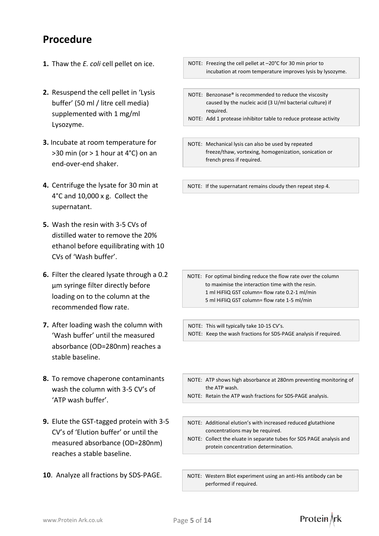## **Procedure**

- **1.** Thaw the *E. coli* cell pellet on ice.
- **2.** Resuspend the cell pellet in 'Lysis buffer' (50 ml / litre cell media) supplemented with 1 mg/ml Lysozyme.
- **3.** Incubate at room temperature for >30 min (or > 1 hour at 4°C) on an end-over-end shaker.
- **4.** Centrifuge the lysate for 30 min at 4°C and 10,000 x g. Collect the supernatant.
- **5.** Wash the resin with 3-5 CVs of distilled water to remove the 20% ethanol before equilibrating with 10 CVs of 'Wash buffer'.
- **6.** Filter the cleared lysate through a 0.2 µm syringe filter directly before loading on to the column at the recommended flow rate.
- **7.** After loading wash the column with 'Wash buffer' until the measured absorbance (OD=280nm) reaches a stable baseline.
- **8.** To remove chaperone contaminants wash the column with 3-5 CV's of 'ATP wash buffer'.
- **9.** Elute the GST-tagged protein with 3-5 CV's of 'Elution buffer' or until the measured absorbance (OD=280nm) reaches a stable baseline.
- **10**. Analyze all fractions by SDS-PAGE.
- NOTE: Freezing the cell pellet at –20°C for 30 min prior to incubation at room temperature improves lysis by lysozyme.
- NOTE: Benzonase® is recommended to reduce the viscosity caused by the nucleic acid (3 U/ml bacterial culture) if required.
- NOTE: Add 1 protease inhibitor table to reduce protease activity

and protein cleavage.

NOTE: Mechanical lysis can also be used by repeated freeze/thaw, vortexing, homogenization, sonication or french press if required.

NOTE: If the supernatant remains cloudy then repeat step 4.

NOTE: For optimal binding reduce the flow rate over the column to maximise the interaction time with the resin. 1 ml HiFliQ GST column= flow rate 0.2-1 ml/min 5 ml HiFliQ GST column= flow rate 1-5 ml/min

NOTE: This will typically take 10-15 CV's. NOTE: Keep the wash fractions for SDS-PAGE analysis if required.

- NOTE: ATP shows high absorbance at 280nm preventing monitoring of the ATP wash.
- NOTE: Retain the ATP wash fractions for SDS-PAGE analysis.
- NOTE: Additional elution's with increased reduced glutathione concentrations may be required.
- NOTE: Collect the eluate in separate tubes for SDS PAGE analysis and protein concentration determination.
- NOTE: Western Blot experiment using an anti-His antibody can be performed if required.

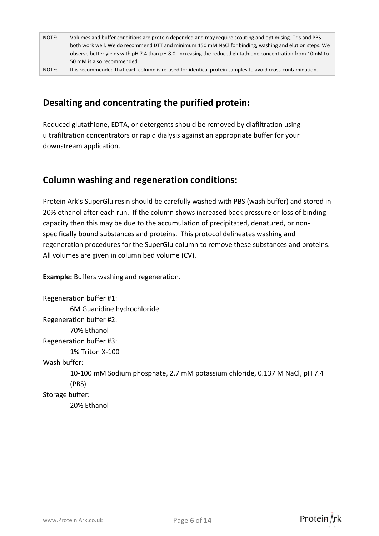| NOTE: | Volumes and buffer conditions are protein depended and may require scouting and optimising. Tris and PBS     |  |
|-------|--------------------------------------------------------------------------------------------------------------|--|
|       | both work well. We do recommend DTT and minimum 150 mM NaCl for binding, washing and elution steps. We       |  |
|       | observe better yields with pH 7.4 than pH 8.0. Increasing the reduced glutathione concentration from 10mM to |  |
|       | 50 mM is also recommended.                                                                                   |  |
|       |                                                                                                              |  |

#### NOTE: It is recommended that each column is re-used for identical protein samples to avoid cross-contamination.

### **Desalting and concentrating the purified protein:**

Reduced glutathione, EDTA, or detergents should be removed by diafiltration using ultrafiltration concentrators or rapid dialysis against an appropriate buffer for your downstream application.

#### **Column washing and regeneration conditions:**

Protein Ark's SuperGlu resin should be carefully washed with PBS (wash buffer) and stored in 20% ethanol after each run. If the column shows increased back pressure or loss of binding capacity then this may be due to the accumulation of precipitated, denatured, or nonspecifically bound substances and proteins. This protocol delineates washing and regeneration procedures for the SuperGlu column to remove these substances and proteins. All volumes are given in column bed volume (CV).

**Example:** Buffers washing and regeneration.

Regeneration buffer #1: 6M Guanidine hydrochloride Regeneration buffer #2: 70% Ethanol Regeneration buffer #3: 1% Triton X-100 Wash buffer: 10-100 mM Sodium phosphate, 2.7 mM potassium chloride, 0.137 M NaCl, pH 7.4 (PBS) Storage buffer: 20% Ethanol

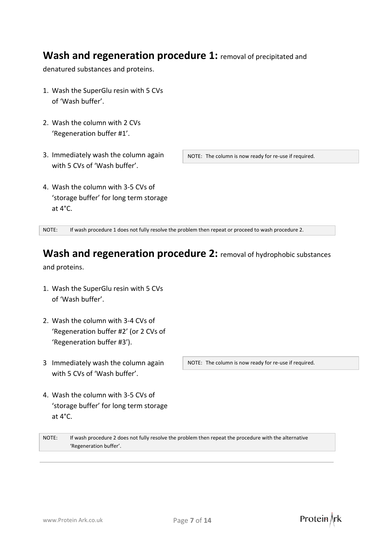## **Wash and regeneration procedure 1:** removal of precipitated and

denatured substances and proteins.

- 1. Wash the SuperGlu resin with 5 CVs of 'Wash buffer'.
- 2. Wash the column with 2 CVs 'Regeneration buffer #1'.
- 3. Immediately wash the column again with 5 CVs of 'Wash buffer'.

NOTE: The column is now ready for re-use if required.

4. Wash the column with 3-5 CVs of 'storage buffer' for long term storage at 4°C.

NOTE: If wash procedure 1 does not fully resolve the problem then repeat or proceed to wash procedure 2.

## **Wash and regeneration procedure 2:** removal of hydrophobic substances

and proteins.

- 1. Wash the SuperGlu resin with 5 CVs of 'Wash buffer'.
- 2. Wash the column with 3-4 CVs of 'Regeneration buffer #2' (or 2 CVs of 'Regeneration buffer #3').
- 3 Immediately wash the column again with 5 CVs of 'Wash buffer'.
- 4. Wash the column with 3-5 CVs of 'storage buffer' for long term storage at 4°C.

NOTE: The column is now ready for re-use if required.

NOTE: If wash procedure 2 does not fully resolve the problem then repeat the procedure with the alternative 'Regeneration buffer'.

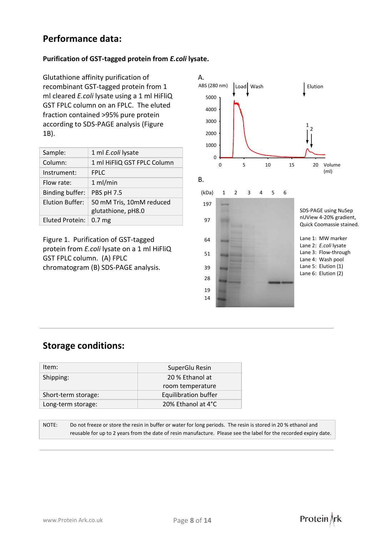#### **Performance data:**

#### **Purification of GST-tagged protein from** *E.coli* **lysate.**

Glutathione affinity purification of recombinant GST-tagged protein from 1 ml cleared *E.coli* lysate using a 1 ml HiFliQ GST FPLC column on an FPLC. The eluted fraction contained >95% pure protein according to SDS-PAGE analysis (Figure 1B).

| Sample:         | 1 ml E.coli lysate                             |
|-----------------|------------------------------------------------|
| Column:         | 1 ml HiFliQ GST FPLC Column                    |
| Instrument:     | <b>FPLC</b>                                    |
| Flow rate:      | 1 ml/min                                       |
| Binding buffer: | PBS pH 7.5                                     |
| Elution Buffer: | 50 mM Tris, 10mM reduced<br>glutathione, pH8.0 |
| Eluted Protein: | 0.7 <sub>mg</sub>                              |

Figure 1. Purification of GST-tagged protein from *E.coli* lysate on a 1 ml HiFliQ GST FPLC column. (A) FPLC chromatogram (B) SDS-PAGE analysis.



Protein \rk

#### **Storage conditions:**

| Item:               | SuperGlu Resin              |
|---------------------|-----------------------------|
| Shipping:           | 20 % Ethanol at             |
|                     | room temperature            |
| Short-term storage: | <b>Equilibration buffer</b> |
| Long-term storage:  | 20% Ethanol at 4°C          |
|                     |                             |

NOTE: Do not freeze or store the resin in buffer or water for long periods. The resin is stored in 20 % ethanol and reusable for up to 2 years from the date of resin manufacture. Please see the label for the recorded expiry date.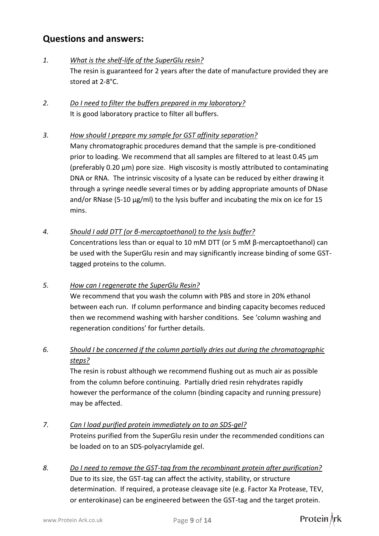## **Questions and answers:**

#### *1. What is the shelf-life of the SuperGlu resin?*

The resin is guaranteed for 2 years after the date of manufacture provided they are stored at 2-8°C.

*2. Do I need to filter the buffers prepared in my laboratory?* It is good laboratory practice to filter all buffers.

#### *3. How should I prepare my sample for GST affinity separation?*

Many chromatographic procedures demand that the sample is pre-conditioned prior to loading. We recommend that all samples are filtered to at least 0.45 μm (preferably 0.20 μm) pore size. High viscosity is mostly attributed to contaminating DNA or RNA. The intrinsic viscosity of a lysate can be reduced by either drawing it through a syringe needle several times or by adding appropriate amounts of DNase and/or RNase (5-10 μg/ml) to the lysis buffer and incubating the mix on ice for 15 mins.

#### *4. Should I add DTT (or β-mercaptoethanol) to the lysis buffer?*

Concentrations less than or equal to 10 mM DTT (or 5 mM β-mercaptoethanol) can be used with the SuperGlu resin and may significantly increase binding of some GSTtagged proteins to the column.

#### *5. How can I regenerate the SuperGlu Resin?*

We recommend that you wash the column with PBS and store in 20% ethanol between each run. If column performance and binding capacity becomes reduced then we recommend washing with harsher conditions. See 'column washing and regeneration conditions' for further details.

#### *6. Should I be concerned if the column partially dries out during the chromatographic steps?*

The resin is robust although we recommend flushing out as much air as possible from the column before continuing. Partially dried resin rehydrates rapidly however the performance of the column (binding capacity and running pressure) may be affected.

#### *7. Can I load purified protein immediately on to an SDS-gel?* Proteins purified from the SuperGlu resin under the recommended conditions can be loaded on to an SDS-polyacrylamide gel.

*8. Do I need to remove the GST-tag from the recombinant protein after purification?* Due to its size, the GST-tag can affect the activity, stability, or structure determination. If required, a protease cleavage site (e.g. Factor Xa Protease, TEV, or enterokinase) can be engineered between the GST-tag and the target protein.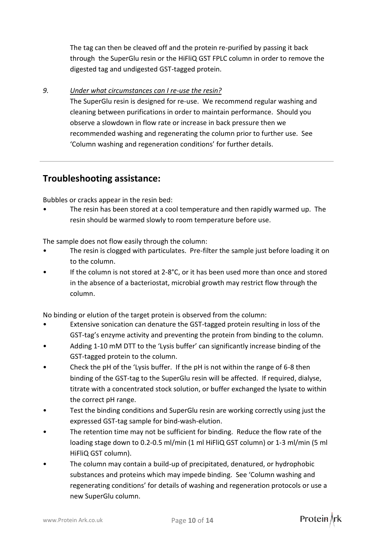The tag can then be cleaved off and the protein re-purified by passing it back through the SuperGlu resin or the HiFliQ GST FPLC column in order to remove the digested tag and undigested GST-tagged protein.

#### *9. Under what circumstances can I re-use the resin?*

The SuperGlu resin is designed for re-use. We recommend regular washing and cleaning between purifications in order to maintain performance. Should you observe a slowdown in flow rate or increase in back pressure then we recommended washing and regenerating the column prior to further use. See 'Column washing and regeneration conditions' for further details.

#### **Troubleshooting assistance:**

Bubbles or cracks appear in the resin bed:

• The resin has been stored at a cool temperature and then rapidly warmed up. The resin should be warmed slowly to room temperature before use.

The sample does not flow easily through the column:

- The resin is clogged with particulates. Pre-filter the sample just before loading it on to the column.
- If the column is not stored at 2-8°C, or it has been used more than once and stored in the absence of a bacteriostat, microbial growth may restrict flow through the column.

No binding or elution of the target protein is observed from the column:

- Extensive sonication can denature the GST-tagged protein resulting in loss of the GST-tag's enzyme activity and preventing the protein from binding to the column.
- Adding 1-10 mM DTT to the 'Lysis buffer' can significantly increase binding of the GST-tagged protein to the column.
- Check the pH of the 'Lysis buffer. If the pH is not within the range of 6-8 then binding of the GST-tag to the SuperGlu resin will be affected. If required, dialyse, titrate with a concentrated stock solution, or buffer exchanged the lysate to within the correct pH range.
- Test the binding conditions and SuperGlu resin are working correctly using just the expressed GST-tag sample for bind-wash-elution.
- The retention time may not be sufficient for binding. Reduce the flow rate of the loading stage down to 0.2-0.5 ml/min (1 ml HiFliQ GST column) or 1-3 ml/min (5 ml HiFliQ GST column).
- The column may contain a build-up of precipitated, denatured, or hydrophobic substances and proteins which may impede binding. See 'Column washing and regenerating conditions' for details of washing and regeneration protocols or use a new SuperGlu column.

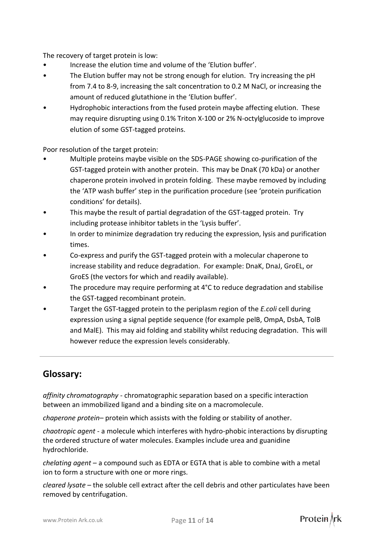The recovery of target protein is low:

- Increase the elution time and volume of the 'Elution buffer'.
- The Elution buffer may not be strong enough for elution. Try increasing the pH from 7.4 to 8-9, increasing the salt concentration to 0.2 M NaCl, or increasing the amount of reduced glutathione in the 'Elution buffer'.
- Hydrophobic interactions from the fused protein maybe affecting elution. These may require disrupting using 0.1% Triton X-100 or 2% N-octylglucoside to improve elution of some GST-tagged proteins.

Poor resolution of the target protein:

- Multiple proteins maybe visible on the SDS-PAGE showing co-purification of the GST-tagged protein with another protein. This may be DnaK (70 kDa) or another chaperone protein involved in protein folding. These maybe removed by including the 'ATP wash buffer' step in the purification procedure (see 'protein purification conditions' for details).
- This maybe the result of partial degradation of the GST-tagged protein. Try including protease inhibitor tablets in the 'Lysis buffer'.
- In order to minimize degradation try reducing the expression, lysis and purification times.
- Co-express and purify the GST-tagged protein with a molecular chaperone to increase stability and reduce degradation. For example: DnaK, DnaJ, GroEL, or GroES (the vectors for which and readily available).
- The procedure may require performing at 4°C to reduce degradation and stabilise the GST-tagged recombinant protein.
- Target the GST-tagged protein to the periplasm region of the *E.coli* cell during expression using a signal peptide sequence (for example pelB, OmpA, DsbA, TolB and MalE). This may aid folding and stability whilst reducing degradation. This will however reduce the expression levels considerably.

## **Glossary:**

*affinity chromatography* - chromatographic separation based on a specific interaction between an immobilized ligand and a binding site on a macromolecule.

*chaperone protein–* protein which assists with the folding or stability of another.

*chaotropic agent* - a molecule which interferes with hydro-phobic interactions by disrupting the ordered structure of water molecules. Examples include urea and guanidine hydrochloride.

*chelating agent* – a compound such as EDTA or EGTA that is able to combine with a metal ion to form a structure with one or more rings.

*cleared lysate* – the soluble cell extract after the cell debris and other particulates have been removed by centrifugation.

Protein \rk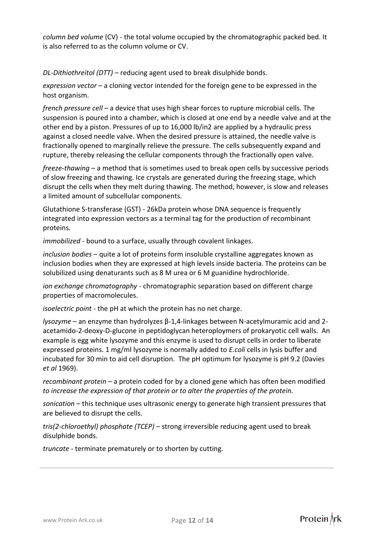*column bed volume* (CV) - the total volume occupied by the chromatographic packed bed. It is also referred to as the column volume or CV.

*DL-Dithiothreitol (DTT)* – reducing agent used to break disulphide bonds.

*expression vector* – a cloning vector intended for the foreign gene to be expressed in the host organism.

*french pressure cell* – a device that uses high shear forces to rupture microbial cells. The suspension is poured into a chamber, which is closed at one end by a needle valve and at the other end by a piston. Pressures of up to 16,000 lb/in2 are applied by a hydraulic press against a closed needle valve. When the desired pressure is attained, the needle valve is fractionally opened to marginally relieve the pressure. The cells subsequently expand and rupture, thereby releasing the cellular components through the fractionally open valve.

*freeze-thawing* – a method that is sometimes used to break open cells by successive periods of slow freezing and thawing. Ice crystals are generated during the freezing stage, which disrupt the cells when they melt during thawing. The method, however, is slow and releases a limited amount of subcellular components.

Glutathione S-transferase (GST) - 26kDa protein whose DNA sequence is frequently integrated into expression vectors as a terminal tag for the production of recombinant proteins.

*immobilized* - bound to a surface, usually through covalent linkages.

*inclusion bodies* – quite a lot of proteins form insoluble crystalline aggregates known as inclusion bodies when they are expressed at high levels inside bacteria. The proteins can be solubilized using denaturants such as 8 M urea or 6 M guanidine hydrochloride.

*ion exchange chromatography* - chromatographic separation based on different charge properties of macromolecules.

*isoelectric point* - the pH at which the protein has no net charge.

*lysozyme* – an enzyme than hydrolyzes β-1,4-linkages between N-acetylmuramic acid and 2 acetamido-2-deoxy-D-glucone in peptidoglycan heteroploymers of prokaryotic cell walls. An example is egg white lysozyme and this enzyme is used to disrupt cells in order to liberate expressed proteins. 1 mg/ml lysozyme is normally added to *E.coli* cells in lysis buffer and incubated for 30 min to aid cell disruption. The pH optimum for lysozyme is pH 9.2 (Davies *et al* 1969).

*recombinant protein* – a protein coded for by a cloned gene which has often been modified *to increase the expression of that protein or to alter the properties of the protein.*

*sonication* – this technique uses ultrasonic energy to generate high transient pressures that are believed to disrupt the cells.

*tris(2-chloroethyl) phosphate (TCEP)* – strong irreversible reducing agent used to break disulphide bonds.

*truncate* - terminate prematurely or to shorten by cutting.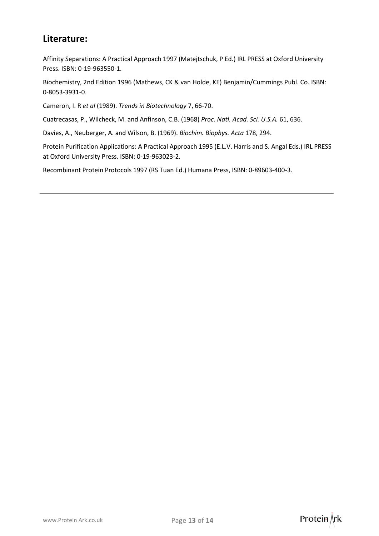### **Literature:**

Affinity Separations: A Practical Approach 1997 (Matejtschuk, P Ed.) IRL PRESS at Oxford University Press. ISBN: 0-19-963550-1.

Biochemistry, 2nd Edition 1996 (Mathews, CK & van Holde, KE) Benjamin/Cummings Publ. Co. ISBN: 0-8053-3931-0.

Cameron, I. R *et al* (1989). *Trends in Biotechnology* 7, 66-70.

Cuatrecasas, P., Wilcheck, M. and Anfinson, C.B. (1968) *Proc. Natl. Acad. Sci. U.S.A.* 61, 636.

Davies, A., Neuberger, A. and Wilson, B. (1969). *Biochim. Biophys. Acta* 178, 294.

Protein Purification Applications: A Practical Approach 1995 (E.L.V. Harris and S. Angal Eds.) IRL PRESS at Oxford University Press. ISBN: 0-19-963023-2.

Recombinant Protein Protocols 1997 (RS Tuan Ed.) Humana Press, ISBN: 0-89603-400-3.